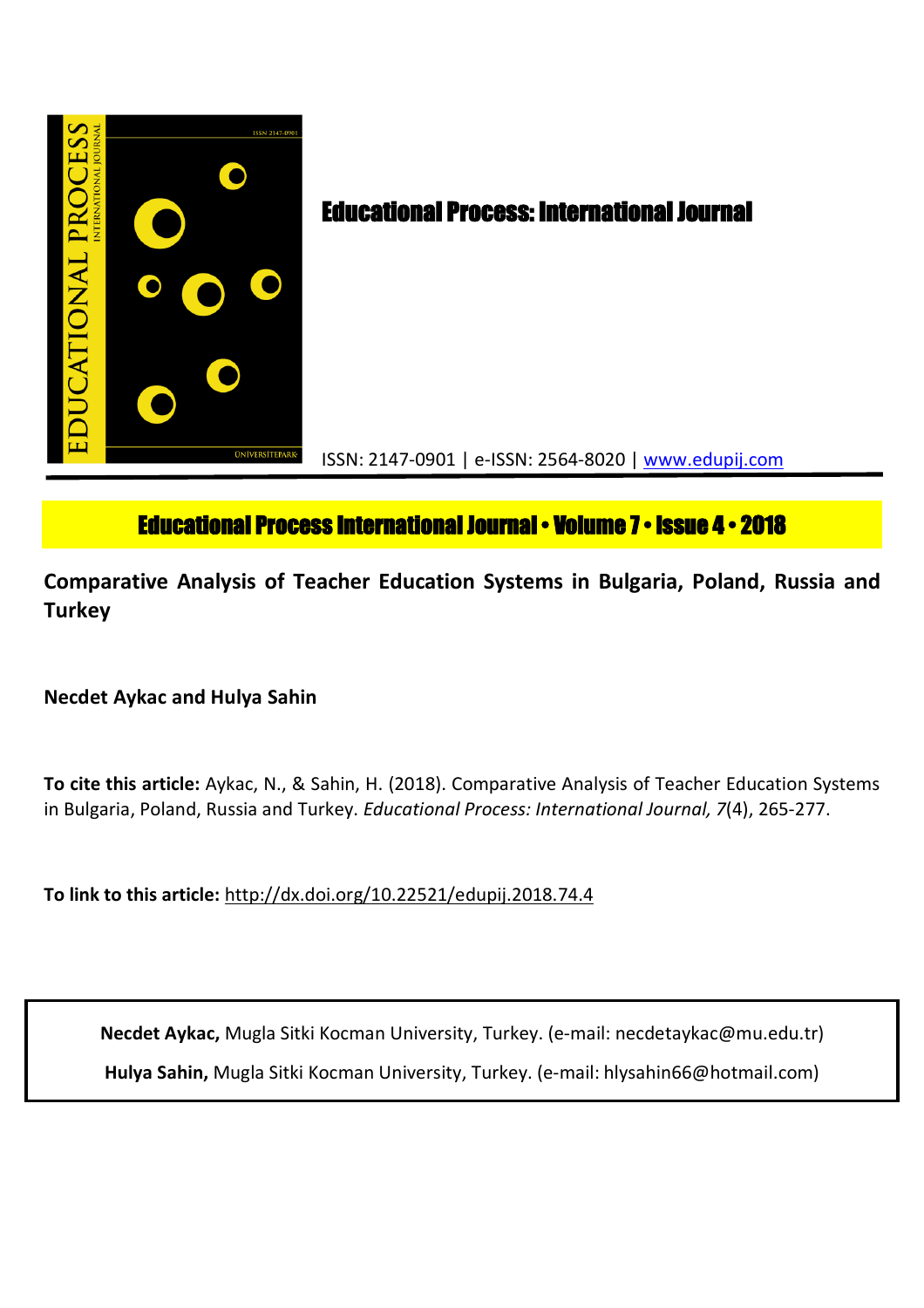

# **Educational Process International Journal • Volume 7 • Issue 4 • 2018**

**Comparative Analysis of Teacher Education Systems in Bulgaria, Poland, Russia and Turkey**

## **Necdet Aykac and Hulya Sahin**

**To cite this article:** Aykac, N., & Sahin, H. (2018). Comparative Analysis of Teacher Education Systems in Bulgaria, Poland, Russia and Turkey. *Educational Process: International Journal, 7*(4), 265-277.

**To link to this article:** http://dx.doi.org/10.22521/edupij.2018.74.4

**Necdet Aykac,** Mugla Sitki Kocman University, Turkey. (e-mail: necdetaykac@mu.edu.tr) **Hulya Sahin,** Mugla Sitki Kocman University, Turkey. (e-mail: hlysahin66@hotmail.com)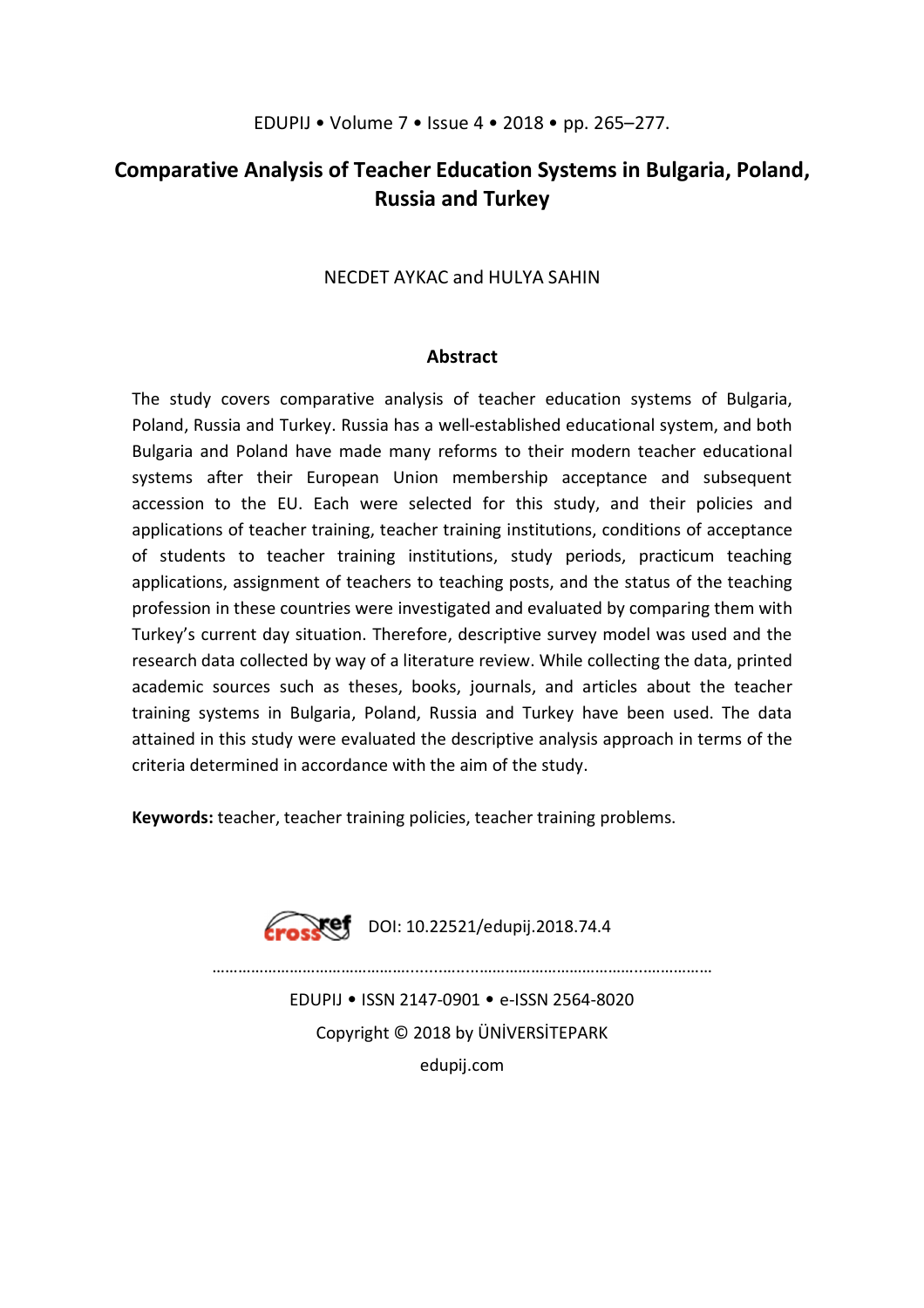## **Comparative Analysis of Teacher Education Systems in Bulgaria, Poland, Russia and Turkey**

## NECDET AYKAC and HULYA SAHIN

## **Abstract**

The study covers comparative analysis of teacher education systems of Bulgaria, Poland, Russia and Turkey. Russia has a well-established educational system, and both Bulgaria and Poland have made many reforms to their modern teacher educational systems after their European Union membership acceptance and subsequent accession to the EU. Each were selected for this study, and their policies and applications of teacher training, teacher training institutions, conditions of acceptance of students to teacher training institutions, study periods, practicum teaching applications, assignment of teachers to teaching posts, and the status of the teaching profession in these countries were investigated and evaluated by comparing them with Turkey's current day situation. Therefore, descriptive survey model was used and the research data collected by way of a literature review. While collecting the data, printed academic sources such as theses, books, journals, and articles about the teacher training systems in Bulgaria, Poland, Russia and Turkey have been used. The data attained in this study were evaluated the descriptive analysis approach in terms of the criteria determined in accordance with the aim of the study.

**Keywords:** teacher, teacher training policies, teacher training problems.



………………………………………........….....………………………………...……………

EDUPIJ • ISSN 2147-0901 • e-ISSN 2564-8020 Copyright © 2018 by ÜNİVERSİTEPARK edupij.com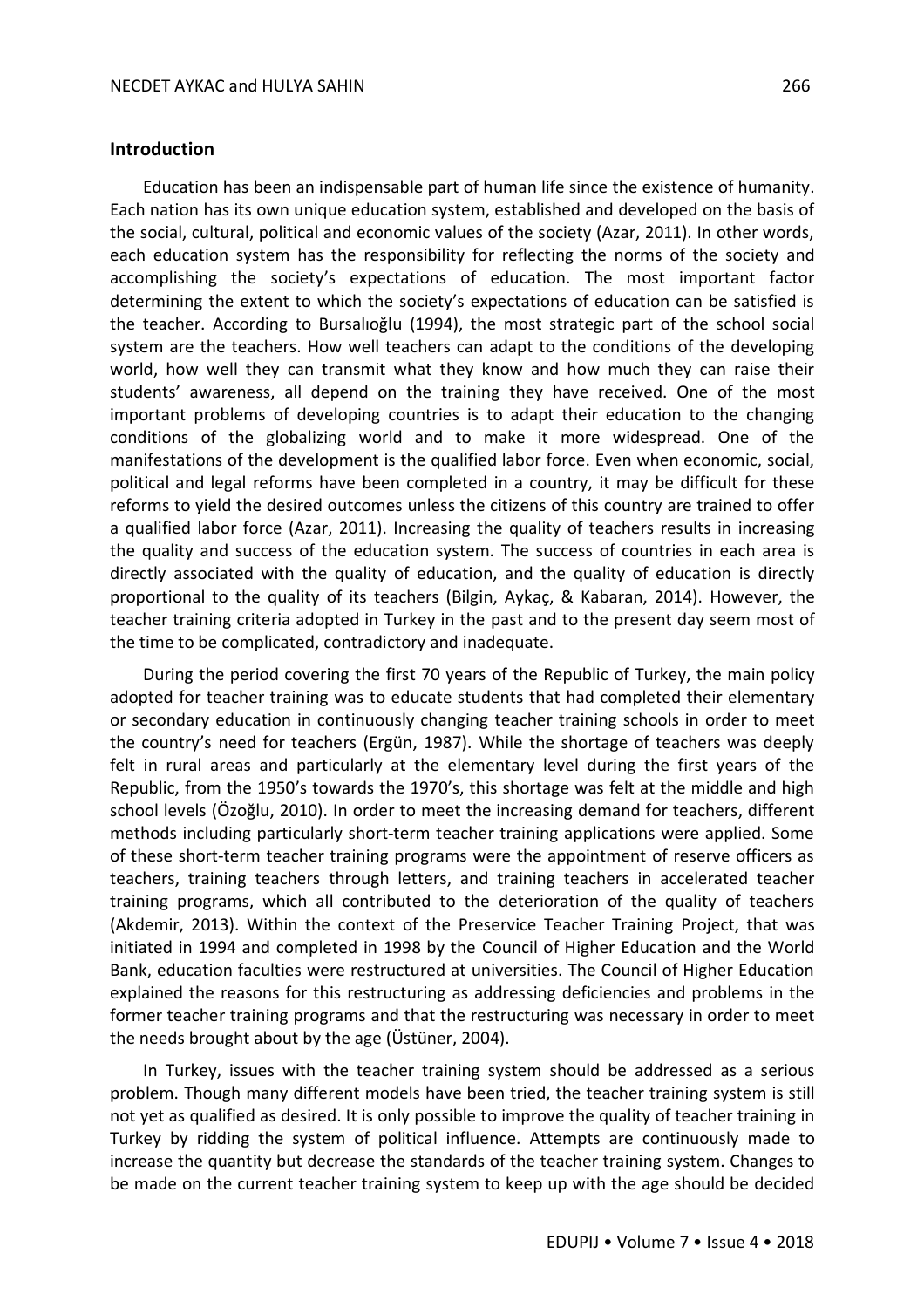#### **Introduction**

Education has been an indispensable part of human life since the existence of humanity. Each nation has its own unique education system, established and developed on the basis of the social, cultural, political and economic values of the society (Azar, 2011). In other words, each education system has the responsibility for reflecting the norms of the society and accomplishing the society's expectations of education. The most important factor determining the extent to which the society's expectations of education can be satisfied is the teacher. According to Bursalıoğlu (1994), the most strategic part of the school social system are the teachers. How well teachers can adapt to the conditions of the developing world, how well they can transmit what they know and how much they can raise their students' awareness, all depend on the training they have received. One of the most important problems of developing countries is to adapt their education to the changing conditions of the globalizing world and to make it more widespread. One of the manifestations of the development is the qualified labor force. Even when economic, social, political and legal reforms have been completed in a country, it may be difficult for these reforms to yield the desired outcomes unless the citizens of this country are trained to offer a qualified labor force (Azar, 2011). Increasing the quality of teachers results in increasing the quality and success of the education system. The success of countries in each area is directly associated with the quality of education, and the quality of education is directly proportional to the quality of its teachers (Bilgin, Aykaç, & Kabaran, 2014). However, the teacher training criteria adopted in Turkey in the past and to the present day seem most of the time to be complicated, contradictory and inadequate.

During the period covering the first 70 years of the Republic of Turkey, the main policy adopted for teacher training was to educate students that had completed their elementary or secondary education in continuously changing teacher training schools in order to meet the country's need for teachers (Ergün, 1987). While the shortage of teachers was deeply felt in rural areas and particularly at the elementary level during the first years of the Republic, from the 1950's towards the 1970's, this shortage was felt at the middle and high school levels (Özoğlu, 2010). In order to meet the increasing demand for teachers, different methods including particularly short-term teacher training applications were applied. Some of these short-term teacher training programs were the appointment of reserve officers as teachers, training teachers through letters, and training teachers in accelerated teacher training programs, which all contributed to the deterioration of the quality of teachers (Akdemir, 2013). Within the context of the Preservice Teacher Training Project, that was initiated in 1994 and completed in 1998 by the Council of Higher Education and the World Bank, education faculties were restructured at universities. The Council of Higher Education explained the reasons for this restructuring as addressing deficiencies and problems in the former teacher training programs and that the restructuring was necessary in order to meet the needs brought about by the age (Üstüner, 2004).

In Turkey, issues with the teacher training system should be addressed as a serious problem. Though many different models have been tried, the teacher training system is still not yet as qualified as desired. It is only possible to improve the quality of teacher training in Turkey by ridding the system of political influence. Attempts are continuously made to increase the quantity but decrease the standards of the teacher training system. Changes to be made on the current teacher training system to keep up with the age should be decided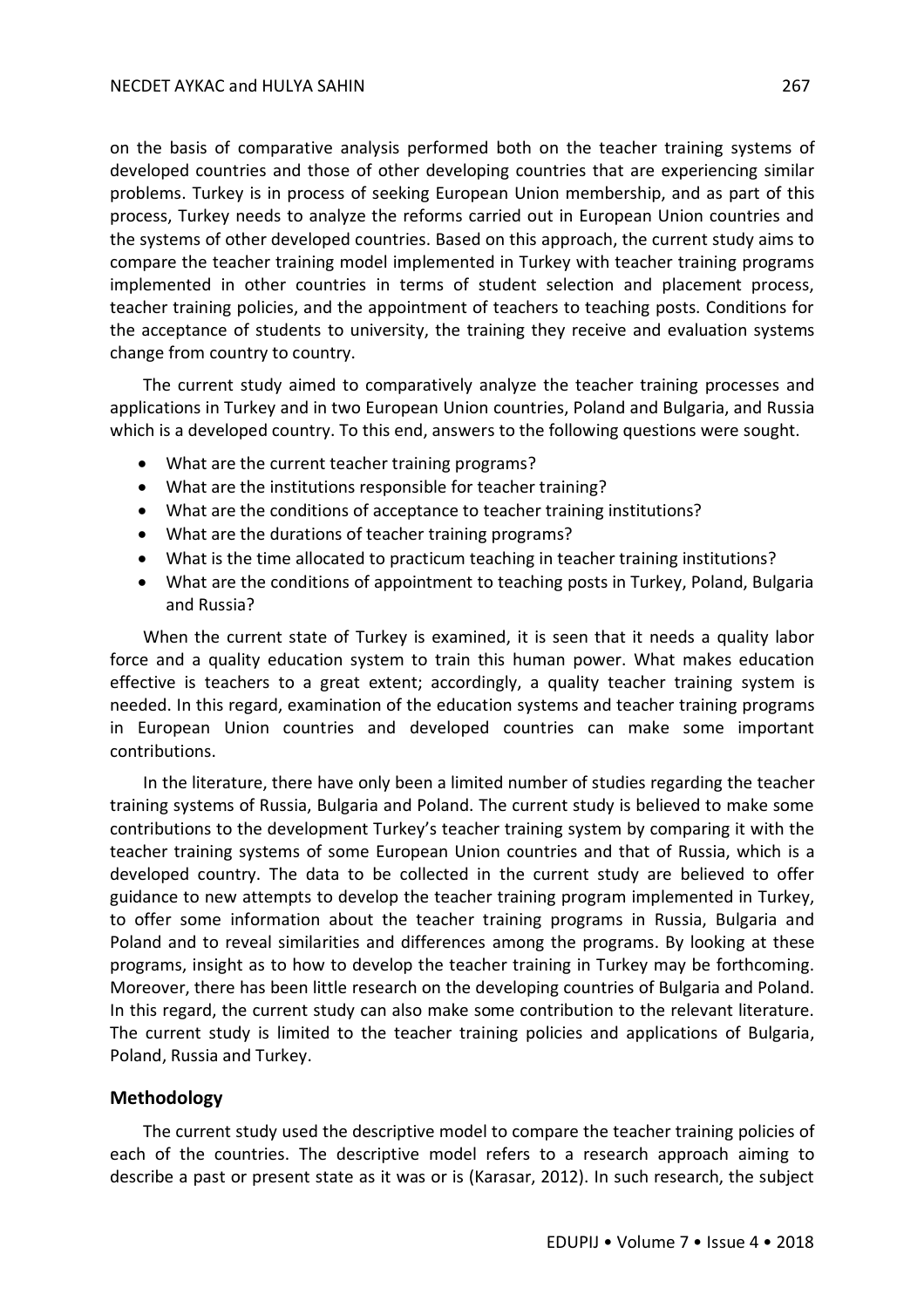on the basis of comparative analysis performed both on the teacher training systems of developed countries and those of other developing countries that are experiencing similar problems. Turkey is in process of seeking European Union membership, and as part of this process, Turkey needs to analyze the reforms carried out in European Union countries and the systems of other developed countries. Based on this approach, the current study aims to compare the teacher training model implemented in Turkey with teacher training programs implemented in other countries in terms of student selection and placement process, teacher training policies, and the appointment of teachers to teaching posts. Conditions for the acceptance of students to university, the training they receive and evaluation systems change from country to country.

The current study aimed to comparatively analyze the teacher training processes and applications in Turkey and in two European Union countries, Poland and Bulgaria, and Russia which is a developed country. To this end, answers to the following questions were sought.

- What are the current teacher training programs?
- What are the institutions responsible for teacher training?
- What are the conditions of acceptance to teacher training institutions?
- What are the durations of teacher training programs?
- What is the time allocated to practicum teaching in teacher training institutions?
- What are the conditions of appointment to teaching posts in Turkey, Poland, Bulgaria and Russia?

When the current state of Turkey is examined, it is seen that it needs a quality labor force and a quality education system to train this human power. What makes education effective is teachers to a great extent; accordingly, a quality teacher training system is needed. In this regard, examination of the education systems and teacher training programs in European Union countries and developed countries can make some important contributions.

In the literature, there have only been a limited number of studies regarding the teacher training systems of Russia, Bulgaria and Poland. The current study is believed to make some contributions to the development Turkey's teacher training system by comparing it with the teacher training systems of some European Union countries and that of Russia, which is a developed country. The data to be collected in the current study are believed to offer guidance to new attempts to develop the teacher training program implemented in Turkey, to offer some information about the teacher training programs in Russia, Bulgaria and Poland and to reveal similarities and differences among the programs. By looking at these programs, insight as to how to develop the teacher training in Turkey may be forthcoming. Moreover, there has been little research on the developing countries of Bulgaria and Poland. In this regard, the current study can also make some contribution to the relevant literature. The current study is limited to the teacher training policies and applications of Bulgaria, Poland, Russia and Turkey.

## **Methodology**

The current study used the descriptive model to compare the teacher training policies of each of the countries. The descriptive model refers to a research approach aiming to describe a past or present state as it was or is (Karasar, 2012). In such research, the subject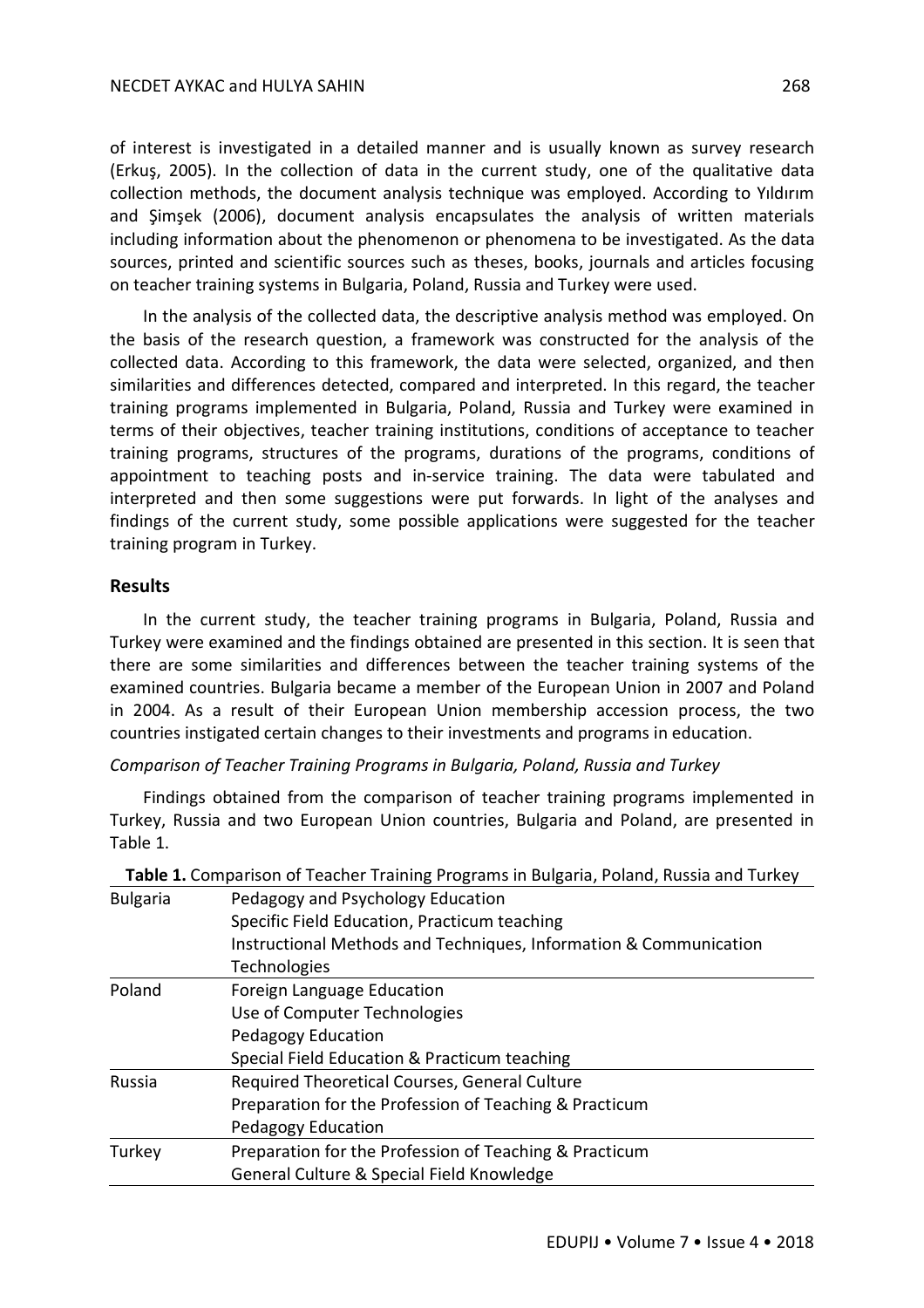of interest is investigated in a detailed manner and is usually known as survey research (Erkuş, 2005). In the collection of data in the current study, one of the qualitative data collection methods, the document analysis technique was employed. According to Yıldırım and Şimşek (2006), document analysis encapsulates the analysis of written materials including information about the phenomenon or phenomena to be investigated. As the data sources, printed and scientific sources such as theses, books, journals and articles focusing on teacher training systems in Bulgaria, Poland, Russia and Turkey were used.

In the analysis of the collected data, the descriptive analysis method was employed. On the basis of the research question, a framework was constructed for the analysis of the collected data. According to this framework, the data were selected, organized, and then similarities and differences detected, compared and interpreted. In this regard, the teacher training programs implemented in Bulgaria, Poland, Russia and Turkey were examined in terms of their objectives, teacher training institutions, conditions of acceptance to teacher training programs, structures of the programs, durations of the programs, conditions of appointment to teaching posts and in-service training. The data were tabulated and interpreted and then some suggestions were put forwards. In light of the analyses and findings of the current study, some possible applications were suggested for the teacher training program in Turkey.

### **Results**

In the current study, the teacher training programs in Bulgaria, Poland, Russia and Turkey were examined and the findings obtained are presented in this section. It is seen that there are some similarities and differences between the teacher training systems of the examined countries. Bulgaria became a member of the European Union in 2007 and Poland in 2004. As a result of their European Union membership accession process, the two countries instigated certain changes to their investments and programs in education.

#### *Comparison of Teacher Training Programs in Bulgaria, Poland, Russia and Turkey*

Findings obtained from the comparison of teacher training programs implemented in Turkey, Russia and two European Union countries, Bulgaria and Poland, are presented in Table 1.

| Table 1. Comparison of Teacher Training Programs in Bulgaria, Poland, Russia and Turkey |                                                                   |
|-----------------------------------------------------------------------------------------|-------------------------------------------------------------------|
| <b>Bulgaria</b>                                                                         | Pedagogy and Psychology Education                                 |
|                                                                                         | Specific Field Education, Practicum teaching                      |
|                                                                                         | Instructional Methods and Techniques, Information & Communication |
|                                                                                         | <b>Technologies</b>                                               |
| Poland                                                                                  | Foreign Language Education                                        |
|                                                                                         | Use of Computer Technologies                                      |
|                                                                                         | Pedagogy Education                                                |
|                                                                                         | Special Field Education & Practicum teaching                      |
| Russia                                                                                  | Required Theoretical Courses, General Culture                     |
|                                                                                         | Preparation for the Profession of Teaching & Practicum            |
|                                                                                         | Pedagogy Education                                                |
| Turkey                                                                                  | Preparation for the Profession of Teaching & Practicum            |
|                                                                                         | General Culture & Special Field Knowledge                         |

| Bulgaria | Pedagogy and Psychology Education                                 |
|----------|-------------------------------------------------------------------|
|          | Specific Field Education, Practicum teaching                      |
|          | Instructional Methods and Techniques, Information & Communication |
|          | Technologies                                                      |
| Poland   | Foreign Language Education                                        |
|          | Use of Computer Technologies                                      |
|          | Pedagogy Education                                                |
|          | Special Field Education & Practicum teaching                      |
| Russia   | Required Theoretical Courses, General Culture                     |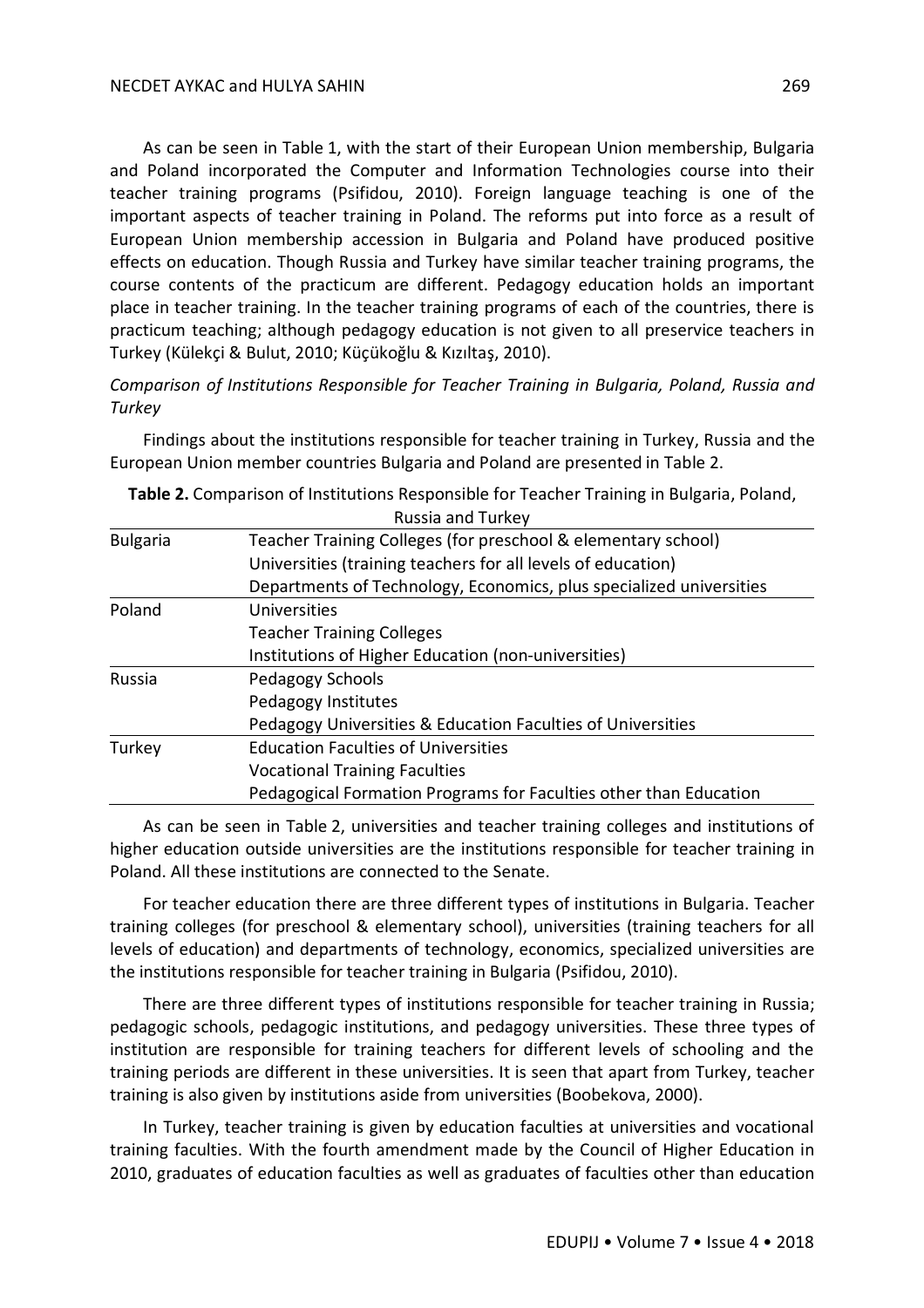As can be seen in Table 1, with the start of their European Union membership, Bulgaria and Poland incorporated the Computer and Information Technologies course into their teacher training programs (Psifidou, 2010). Foreign language teaching is one of the important aspects of teacher training in Poland. The reforms put into force as a result of European Union membership accession in Bulgaria and Poland have produced positive effects on education. Though Russia and Turkey have similar teacher training programs, the course contents of the practicum are different. Pedagogy education holds an important place in teacher training. In the teacher training programs of each of the countries, there is practicum teaching; although pedagogy education is not given to all preservice teachers in Turkey (Külekçi & Bulut, 2010; Küçükoğlu & Kızıltaş, 2010).

*Comparison of Institutions Responsible for Teacher Training in Bulgaria, Poland, Russia and Turkey* 

Findings about the institutions responsible for teacher training in Turkey, Russia and the European Union member countries Bulgaria and Poland are presented in Table 2.

|  | Table 2. Comparison of Institutions Responsible for Teacher Training in Bulgaria, Poland, |
|--|-------------------------------------------------------------------------------------------|
|  |                                                                                           |

As can be seen in Table 2, universities and teacher training colleges and institutions of higher education outside universities are the institutions responsible for teacher training in Poland. All these institutions are connected to the Senate.

For teacher education there are three different types of institutions in Bulgaria. Teacher training colleges (for preschool & elementary school), universities (training teachers for all levels of education) and departments of technology, economics, specialized universities are the institutions responsible for teacher training in Bulgaria (Psifidou, 2010).

There are three different types of institutions responsible for teacher training in Russia; pedagogic schools, pedagogic institutions, and pedagogy universities. These three types of institution are responsible for training teachers for different levels of schooling and the training periods are different in these universities. It is seen that apart from Turkey, teacher training is also given by institutions aside from universities (Boobekova, 2000).

In Turkey, teacher training is given by education faculties at universities and vocational training faculties. With the fourth amendment made by the Council of Higher Education in 2010, graduates of education faculties as well as graduates of faculties other than education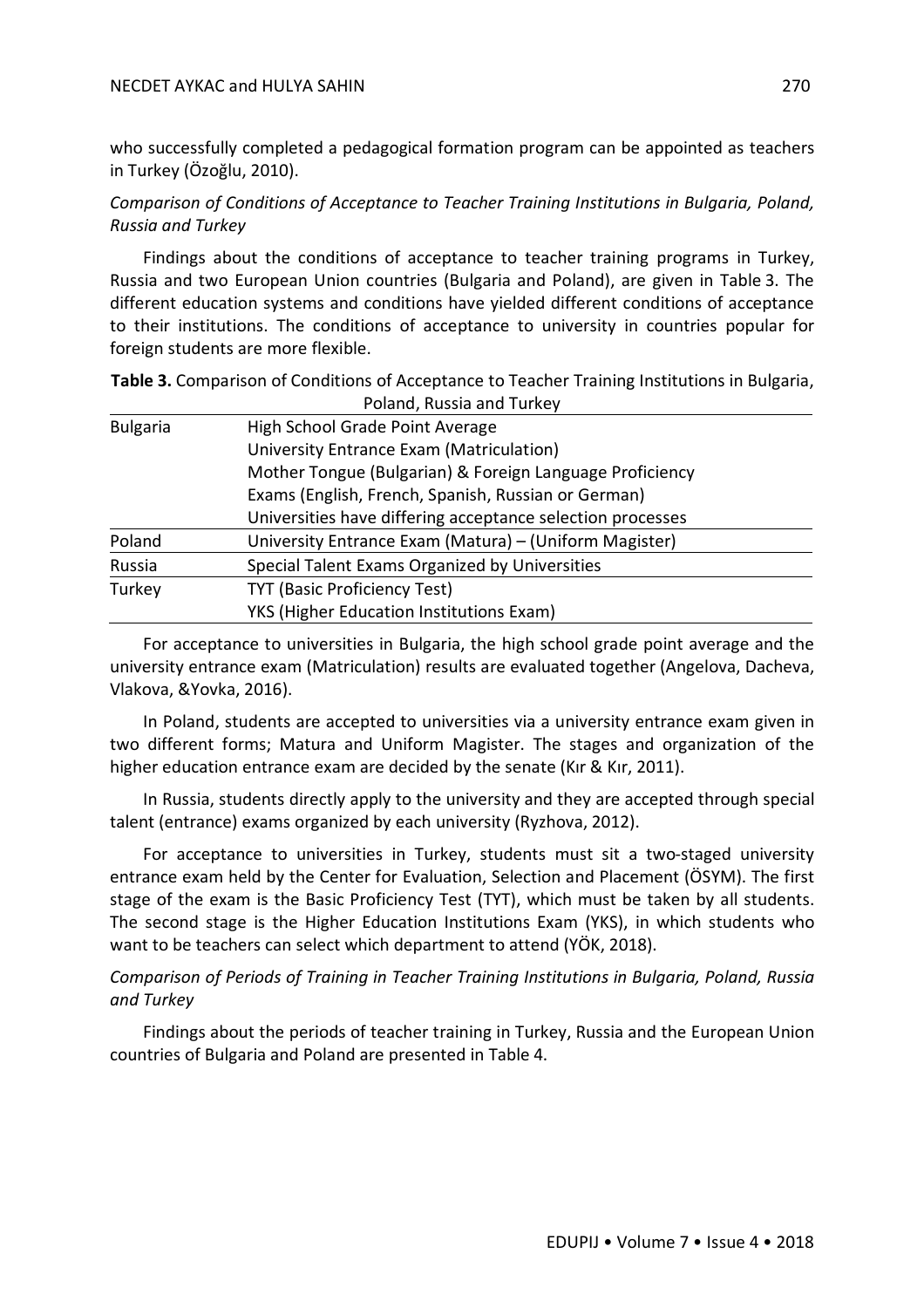#### NECDET AYKAC and HULYA SAHIN 270

who successfully completed a pedagogical formation program can be appointed as teachers in Turkey (Özoğlu, 2010).

*Comparison of Conditions of Acceptance to Teacher Training Institutions in Bulgaria, Poland, Russia and Turkey* 

Findings about the conditions of acceptance to teacher training programs in Turkey, Russia and two European Union countries (Bulgaria and Poland), are given in Table 3. The different education systems and conditions have yielded different conditions of acceptance to their institutions. The conditions of acceptance to university in countries popular for foreign students are more flexible.

**Table 3.** Comparison of Conditions of Acceptance to Teacher Training Institutions in Bulgaria, Poland, Russia and Turkey

| <b>Bulgaria</b> | High School Grade Point Average                            |  |
|-----------------|------------------------------------------------------------|--|
|                 | University Entrance Exam (Matriculation)                   |  |
|                 | Mother Tongue (Bulgarian) & Foreign Language Proficiency   |  |
|                 | Exams (English, French, Spanish, Russian or German)        |  |
|                 | Universities have differing acceptance selection processes |  |
| Poland          | University Entrance Exam (Matura) – (Uniform Magister)     |  |
| Russia          | Special Talent Exams Organized by Universities             |  |
| Turkey          | TYT (Basic Proficiency Test)                               |  |
|                 | YKS (Higher Education Institutions Exam)                   |  |

For acceptance to universities in Bulgaria, the high school grade point average and the university entrance exam (Matriculation) results are evaluated together (Angelova, Dacheva, Vlakova, &Yovka, 2016).

In Poland, students are accepted to universities via a university entrance exam given in two different forms; Matura and Uniform Magister. The stages and organization of the higher education entrance exam are decided by the senate (Kır & Kır, 2011).

In Russia, students directly apply to the university and they are accepted through special talent (entrance) exams organized by each university (Ryzhova, 2012).

For acceptance to universities in Turkey, students must sit a two-staged university entrance exam held by the Center for Evaluation, Selection and Placement (ÖSYM). The first stage of the exam is the Basic Proficiency Test (TYT), which must be taken by all students. The second stage is the Higher Education Institutions Exam (YKS), in which students who want to be teachers can select which department to attend (YÖK, 2018).

*Comparison of Periods of Training in Teacher Training Institutions in Bulgaria, Poland, Russia and Turkey* 

Findings about the periods of teacher training in Turkey, Russia and the European Union countries of Bulgaria and Poland are presented in Table 4.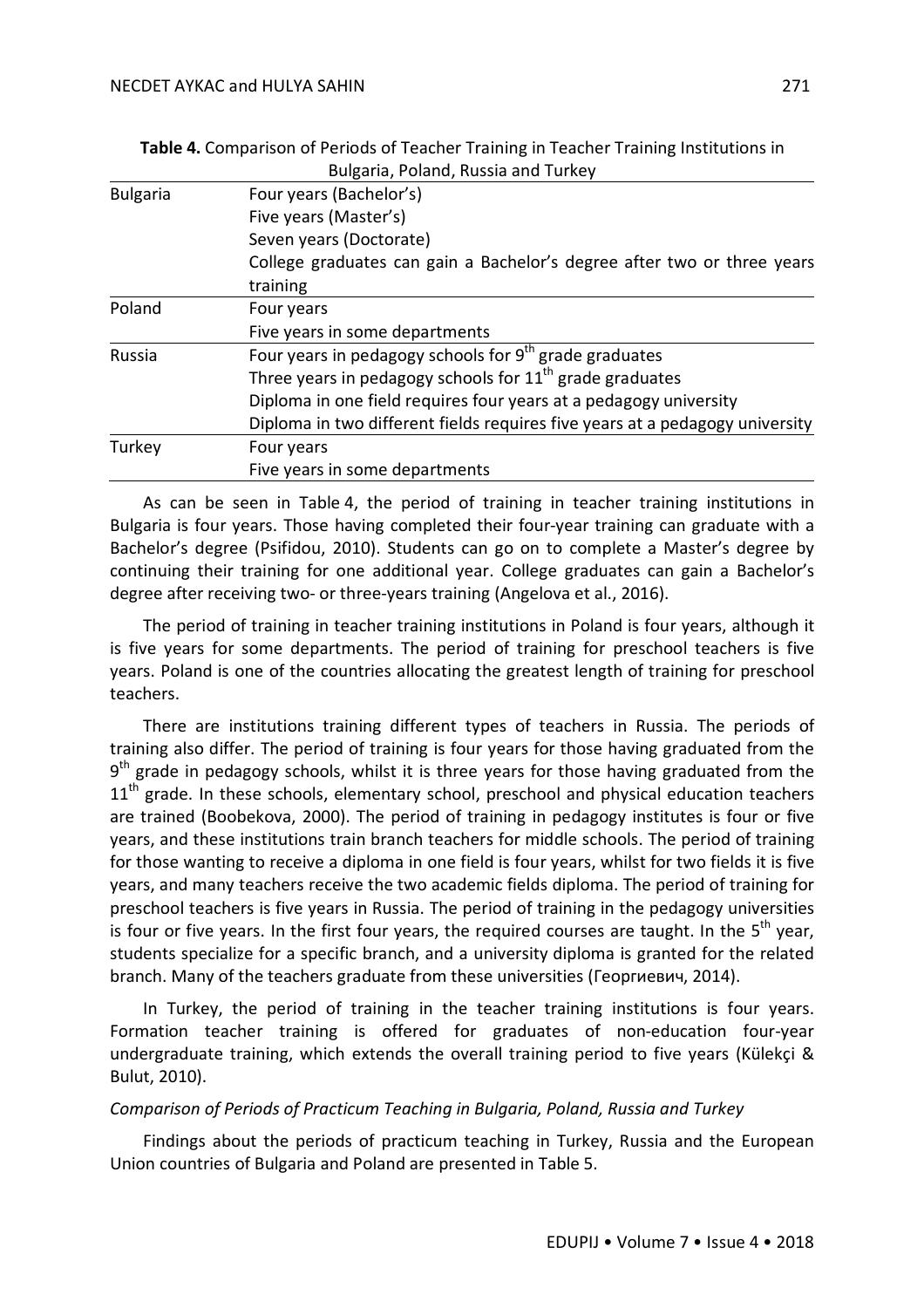|                 | Bulgaria, Poland, Russia and Turkey                                          |
|-----------------|------------------------------------------------------------------------------|
| <b>Bulgaria</b> | Four years (Bachelor's)                                                      |
|                 | Five years (Master's)                                                        |
|                 | Seven years (Doctorate)                                                      |
|                 | College graduates can gain a Bachelor's degree after two or three years      |
|                 | training                                                                     |
| Poland          | Four years                                                                   |
|                 | Five years in some departments                                               |
| <b>Russia</b>   | Four years in pedagogy schools for $9th$ grade graduates                     |
|                 | Three years in pedagogy schools for $11th$ grade graduates                   |
|                 | Diploma in one field requires four years at a pedagogy university            |
|                 | Diploma in two different fields requires five years at a pedagogy university |
| Turkey          | Four years                                                                   |
|                 | Five years in some departments                                               |

**Table 4.** Comparison of Periods of Teacher Training in Teacher Training Institutions in

As can be seen in Table 4, the period of training in teacher training institutions in Bulgaria is four years. Those having completed their four-year training can graduate with a Bachelor's degree (Psifidou, 2010). Students can go on to complete a Master's degree by continuing their training for one additional year. College graduates can gain a Bachelor's degree after receiving two- or three-years training (Angelova et al., 2016).

The period of training in teacher training institutions in Poland is four years, although it is five years for some departments. The period of training for preschool teachers is five years. Poland is one of the countries allocating the greatest length of training for preschool teachers.

There are institutions training different types of teachers in Russia. The periods of training also differ. The period of training is four years for those having graduated from the 9<sup>th</sup> grade in pedagogy schools, whilst it is three years for those having graduated from the  $11<sup>th</sup>$  grade. In these schools, elementary school, preschool and physical education teachers are trained (Boobekova, 2000). The period of training in pedagogy institutes is four or five years, and these institutions train branch teachers for middle schools. The period of training for those wanting to receive a diploma in one field is four years, whilst for two fields it is five years, and many teachers receive the two academic fields diploma. The period of training for preschool teachers is five years in Russia. The period of training in the pedagogy universities is four or five years. In the first four years, the required courses are taught. In the  $5<sup>th</sup>$  year, students specialize for a specific branch, and a university diploma is granted for the related branch. Many of the teachers graduate from these universities (Георгиевич, 2014).

In Turkey, the period of training in the teacher training institutions is four years. Formation teacher training is offered for graduates of non-education four-year undergraduate training, which extends the overall training period to five years (Külekçi & Bulut, 2010).

## *Comparison of Periods of Practicum Teaching in Bulgaria, Poland, Russia and Turkey*

Findings about the periods of practicum teaching in Turkey, Russia and the European Union countries of Bulgaria and Poland are presented in Table 5.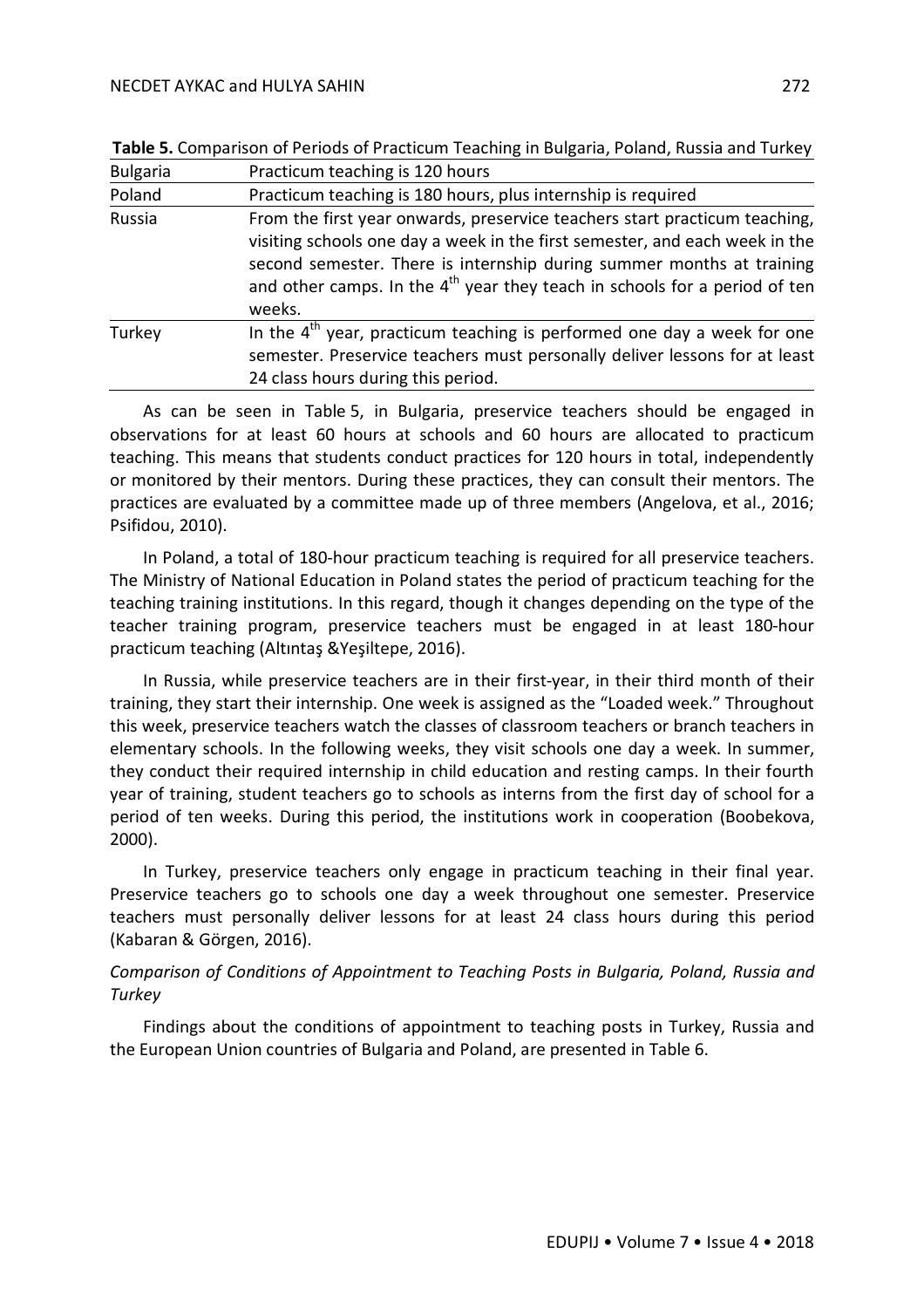| <b>Bulgaria</b> | Practicum teaching is 120 hours                                                                                                                                                                                                                                                                                              |
|-----------------|------------------------------------------------------------------------------------------------------------------------------------------------------------------------------------------------------------------------------------------------------------------------------------------------------------------------------|
| Poland          | Practicum teaching is 180 hours, plus internship is required                                                                                                                                                                                                                                                                 |
| Russia          | From the first year onwards, preservice teachers start practicum teaching,<br>visiting schools one day a week in the first semester, and each week in the<br>second semester. There is internship during summer months at training<br>and other camps. In the $4th$ year they teach in schools for a period of ten<br>weeks. |
| Turkey          | In the $4th$ year, practicum teaching is performed one day a week for one<br>semester. Preservice teachers must personally deliver lessons for at least<br>24 class hours during this period.                                                                                                                                |

**Table 5.** Comparison of Periods of Practicum Teaching in Bulgaria, Poland, Russia and Turkey

As can be seen in Table 5, in Bulgaria, preservice teachers should be engaged in observations for at least 60 hours at schools and 60 hours are allocated to practicum teaching. This means that students conduct practices for 120 hours in total, independently or monitored by their mentors. During these practices, they can consult their mentors. The practices are evaluated by a committee made up of three members (Angelova, et al., 2016; Psifidou, 2010).

In Poland, a total of 180-hour practicum teaching is required for all preservice teachers. The Ministry of National Education in Poland states the period of practicum teaching for the teaching training institutions. In this regard, though it changes depending on the type of the teacher training program, preservice teachers must be engaged in at least 180-hour practicum teaching (Altıntaş &Yeşiltepe, 2016).

In Russia, while preservice teachers are in their first-year, in their third month of their training, they start their internship. One week is assigned as the "Loaded week." Throughout this week, preservice teachers watch the classes of classroom teachers or branch teachers in elementary schools. In the following weeks, they visit schools one day a week. In summer, they conduct their required internship in child education and resting camps. In their fourth year of training, student teachers go to schools as interns from the first day of school for a period of ten weeks. During this period, the institutions work in cooperation (Boobekova, 2000).

In Turkey, preservice teachers only engage in practicum teaching in their final year. Preservice teachers go to schools one day a week throughout one semester. Preservice teachers must personally deliver lessons for at least 24 class hours during this period (Kabaran & Görgen, 2016).

## *Comparison of Conditions of Appointment to Teaching Posts in Bulgaria, Poland, Russia and Turkey*

Findings about the conditions of appointment to teaching posts in Turkey, Russia and the European Union countries of Bulgaria and Poland, are presented in Table 6.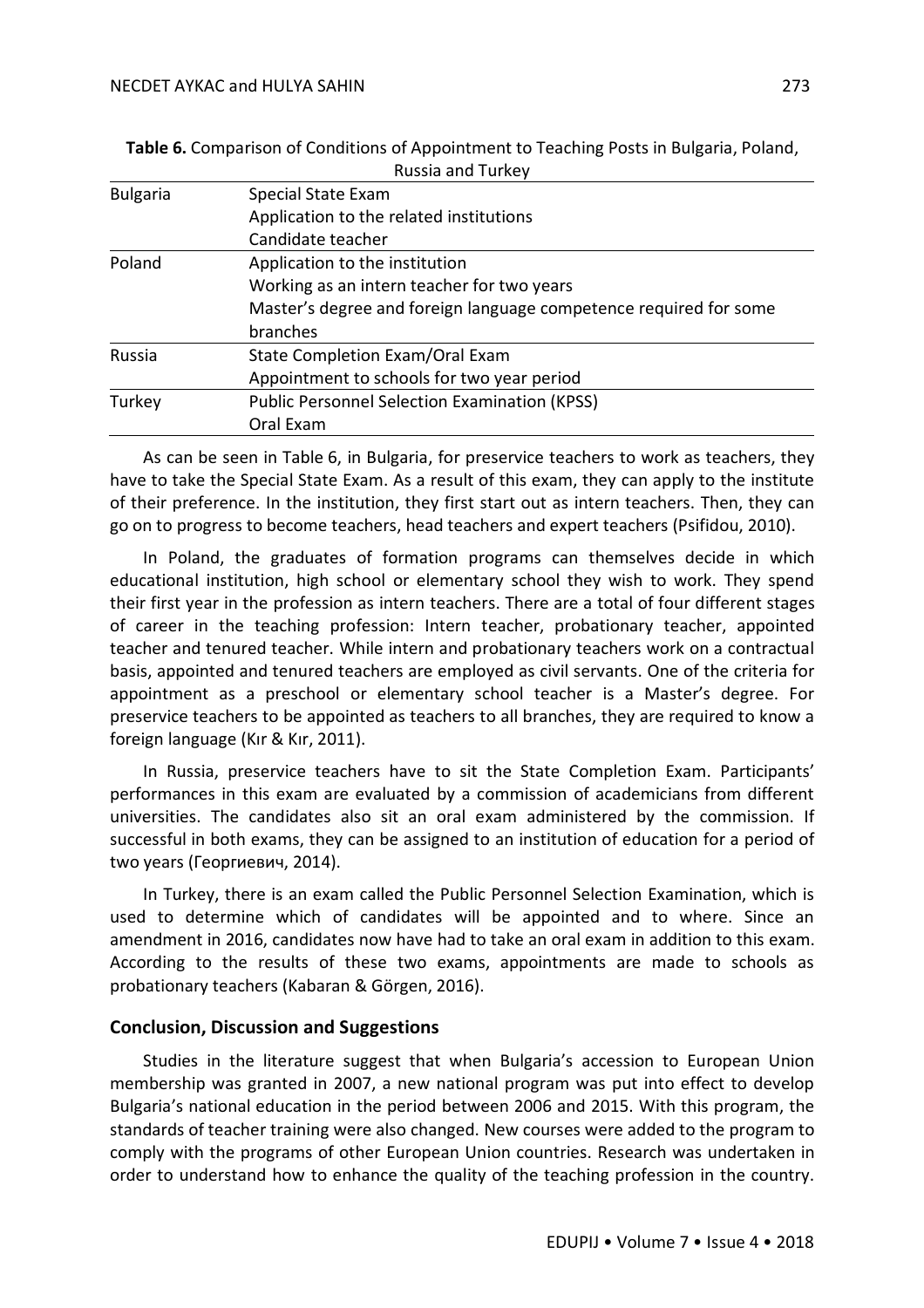| NUSSID DILL TUINEY                                                |
|-------------------------------------------------------------------|
| Special State Exam                                                |
| Application to the related institutions                           |
| Candidate teacher                                                 |
| Application to the institution                                    |
| Working as an intern teacher for two years                        |
| Master's degree and foreign language competence required for some |
| branches                                                          |
| State Completion Exam/Oral Exam                                   |
| Appointment to schools for two year period                        |
| <b>Public Personnel Selection Examination (KPSS)</b>              |
| Oral Exam                                                         |
|                                                                   |

**Table 6.** Comparison of Conditions of Appointment to Teaching Posts in Bulgaria, Poland, Russia and Turkey

As can be seen in Table 6, in Bulgaria, for preservice teachers to work as teachers, they have to take the Special State Exam. As a result of this exam, they can apply to the institute of their preference. In the institution, they first start out as intern teachers. Then, they can go on to progress to become teachers, head teachers and expert teachers (Psifidou, 2010).

In Poland, the graduates of formation programs can themselves decide in which educational institution, high school or elementary school they wish to work. They spend their first year in the profession as intern teachers. There are a total of four different stages of career in the teaching profession: Intern teacher, probationary teacher, appointed teacher and tenured teacher. While intern and probationary teachers work on a contractual basis, appointed and tenured teachers are employed as civil servants. One of the criteria for appointment as a preschool or elementary school teacher is a Master's degree. For preservice teachers to be appointed as teachers to all branches, they are required to know a foreign language (Kır & Kır, 2011).

In Russia, preservice teachers have to sit the State Completion Exam. Participants' performances in this exam are evaluated by a commission of academicians from different universities. The candidates also sit an oral exam administered by the commission. If successful in both exams, they can be assigned to an institution of education for a period of two years (Георгиевич, 2014).

In Turkey, there is an exam called the Public Personnel Selection Examination, which is used to determine which of candidates will be appointed and to where. Since an amendment in 2016, candidates now have had to take an oral exam in addition to this exam. According to the results of these two exams, appointments are made to schools as probationary teachers (Kabaran & Görgen, 2016).

## **Conclusion, Discussion and Suggestions**

Studies in the literature suggest that when Bulgaria's accession to European Union membership was granted in 2007, a new national program was put into effect to develop Bulgaria's national education in the period between 2006 and 2015. With this program, the standards of teacher training were also changed. New courses were added to the program to comply with the programs of other European Union countries. Research was undertaken in order to understand how to enhance the quality of the teaching profession in the country.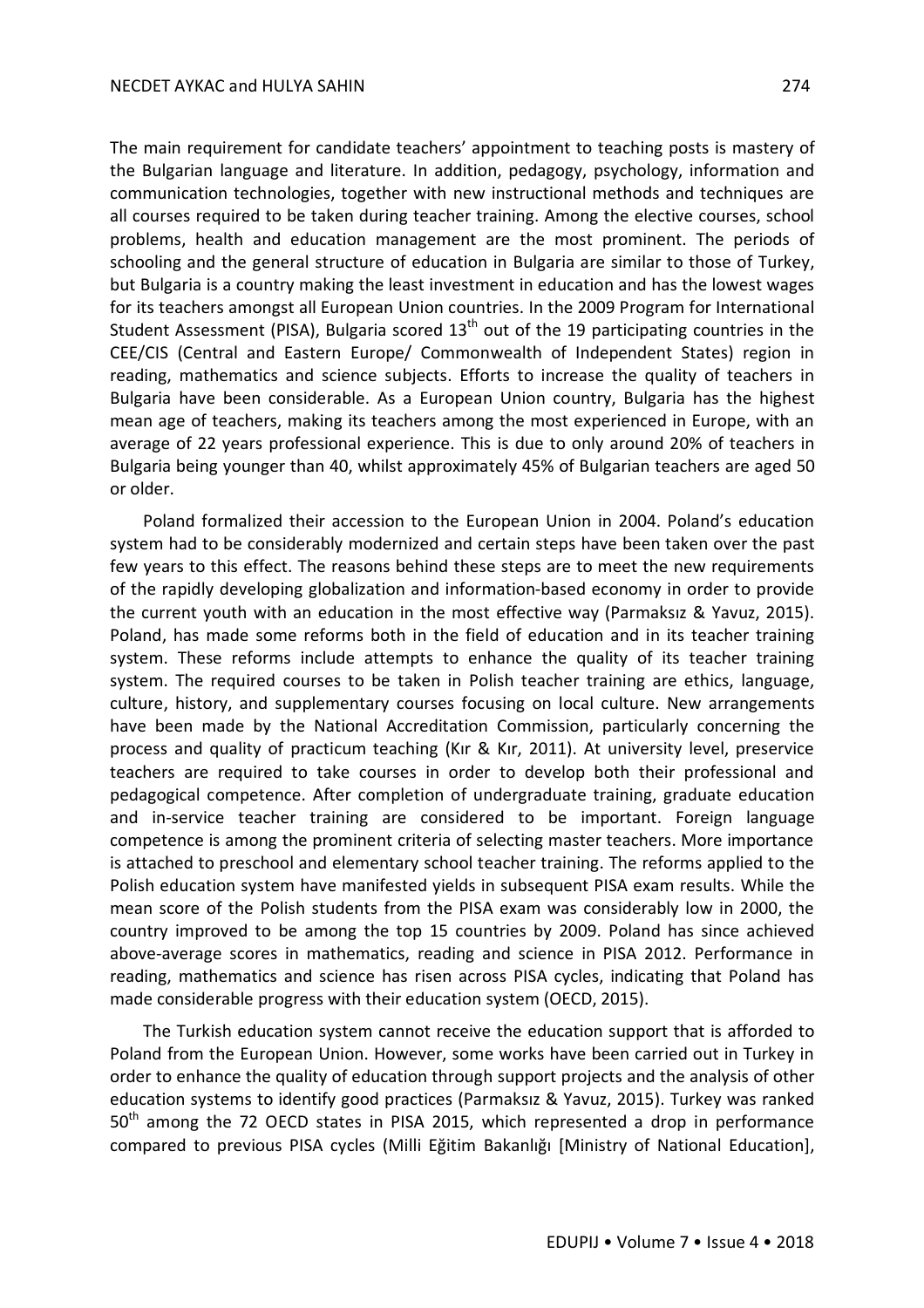The main requirement for candidate teachers' appointment to teaching posts is mastery of the Bulgarian language and literature. In addition, pedagogy, psychology, information and communication technologies, together with new instructional methods and techniques are all courses required to be taken during teacher training. Among the elective courses, school problems, health and education management are the most prominent. The periods of schooling and the general structure of education in Bulgaria are similar to those of Turkey, but Bulgaria is a country making the least investment in education and has the lowest wages for its teachers amongst all European Union countries. In the 2009 Program for International Student Assessment (PISA), Bulgaria scored  $13<sup>th</sup>$  out of the 19 participating countries in the CEE/CIS (Central and Eastern Europe/ Commonwealth of Independent States) region in reading, mathematics and science subjects. Efforts to increase the quality of teachers in Bulgaria have been considerable. As a European Union country, Bulgaria has the highest mean age of teachers, making its teachers among the most experienced in Europe, with an average of 22 years professional experience. This is due to only around 20% of teachers in Bulgaria being younger than 40, whilst approximately 45% of Bulgarian teachers are aged 50 or older.

Poland formalized their accession to the European Union in 2004. Poland's education system had to be considerably modernized and certain steps have been taken over the past few years to this effect. The reasons behind these steps are to meet the new requirements of the rapidly developing globalization and information-based economy in order to provide the current youth with an education in the most effective way (Parmaksız & Yavuz, 2015). Poland, has made some reforms both in the field of education and in its teacher training system. These reforms include attempts to enhance the quality of its teacher training system. The required courses to be taken in Polish teacher training are ethics, language, culture, history, and supplementary courses focusing on local culture. New arrangements have been made by the National Accreditation Commission, particularly concerning the process and quality of practicum teaching (Kır & Kır, 2011). At university level, preservice teachers are required to take courses in order to develop both their professional and pedagogical competence. After completion of undergraduate training, graduate education and in-service teacher training are considered to be important. Foreign language competence is among the prominent criteria of selecting master teachers. More importance is attached to preschool and elementary school teacher training. The reforms applied to the Polish education system have manifested yields in subsequent PISA exam results. While the mean score of the Polish students from the PISA exam was considerably low in 2000, the country improved to be among the top 15 countries by 2009. Poland has since achieved above-average scores in mathematics, reading and science in PISA 2012. Performance in reading, mathematics and science has risen across PISA cycles, indicating that Poland has made considerable progress with their education system (OECD, 2015).

The Turkish education system cannot receive the education support that is afforded to Poland from the European Union. However, some works have been carried out in Turkey in order to enhance the quality of education through support projects and the analysis of other education systems to identify good practices (Parmaksız & Yavuz, 2015). Turkey was ranked 50<sup>th</sup> among the 72 OECD states in PISA 2015, which represented a drop in performance compared to previous PISA cycles (Milli Eğitim Bakanlığı [Ministry of National Education],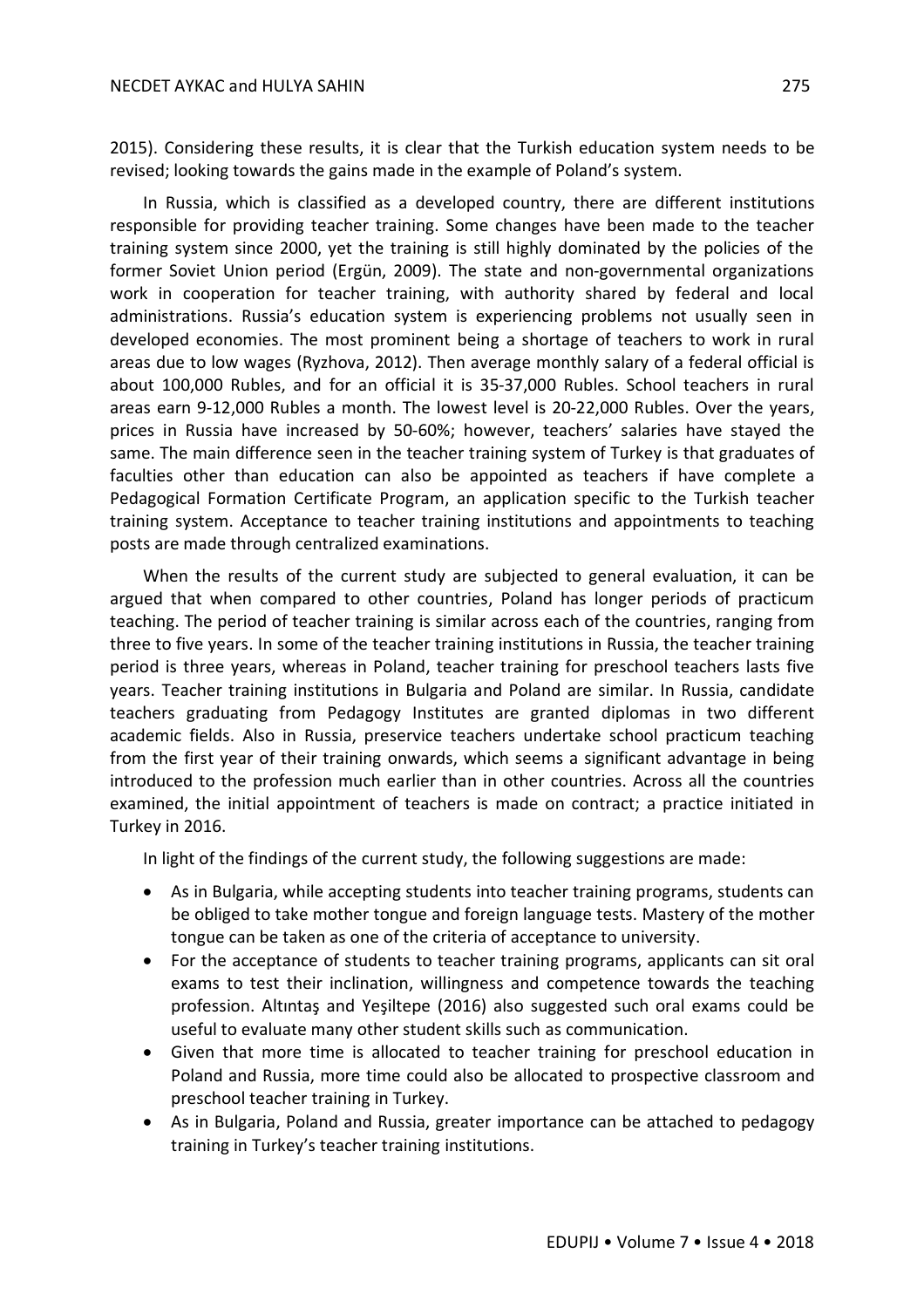2015). Considering these results, it is clear that the Turkish education system needs to be revised; looking towards the gains made in the example of Poland's system.

In Russia, which is classified as a developed country, there are different institutions responsible for providing teacher training. Some changes have been made to the teacher training system since 2000, yet the training is still highly dominated by the policies of the former Soviet Union period (Ergün, 2009). The state and non-governmental organizations work in cooperation for teacher training, with authority shared by federal and local administrations. Russia's education system is experiencing problems not usually seen in developed economies. The most prominent being a shortage of teachers to work in rural areas due to low wages (Ryzhova, 2012). Then average monthly salary of a federal official is about 100,000 Rubles, and for an official it is 35-37,000 Rubles. School teachers in rural areas earn 9-12,000 Rubles a month. The lowest level is 20-22,000 Rubles. Over the years, prices in Russia have increased by 50-60%; however, teachers' salaries have stayed the same. The main difference seen in the teacher training system of Turkey is that graduates of faculties other than education can also be appointed as teachers if have complete a Pedagogical Formation Certificate Program, an application specific to the Turkish teacher training system. Acceptance to teacher training institutions and appointments to teaching posts are made through centralized examinations.

When the results of the current study are subjected to general evaluation, it can be argued that when compared to other countries, Poland has longer periods of practicum teaching. The period of teacher training is similar across each of the countries, ranging from three to five years. In some of the teacher training institutions in Russia, the teacher training period is three years, whereas in Poland, teacher training for preschool teachers lasts five years. Teacher training institutions in Bulgaria and Poland are similar. In Russia, candidate teachers graduating from Pedagogy Institutes are granted diplomas in two different academic fields. Also in Russia, preservice teachers undertake school practicum teaching from the first year of their training onwards, which seems a significant advantage in being introduced to the profession much earlier than in other countries. Across all the countries examined, the initial appointment of teachers is made on contract; a practice initiated in Turkey in 2016.

In light of the findings of the current study, the following suggestions are made:

- As in Bulgaria, while accepting students into teacher training programs, students can be obliged to take mother tongue and foreign language tests. Mastery of the mother tongue can be taken as one of the criteria of acceptance to university.
- For the acceptance of students to teacher training programs, applicants can sit oral exams to test their inclination, willingness and competence towards the teaching profession. Altıntaş and Yeşiltepe (2016) also suggested such oral exams could be useful to evaluate many other student skills such as communication.
- Given that more time is allocated to teacher training for preschool education in Poland and Russia, more time could also be allocated to prospective classroom and preschool teacher training in Turkey.
- As in Bulgaria, Poland and Russia, greater importance can be attached to pedagogy training in Turkey's teacher training institutions.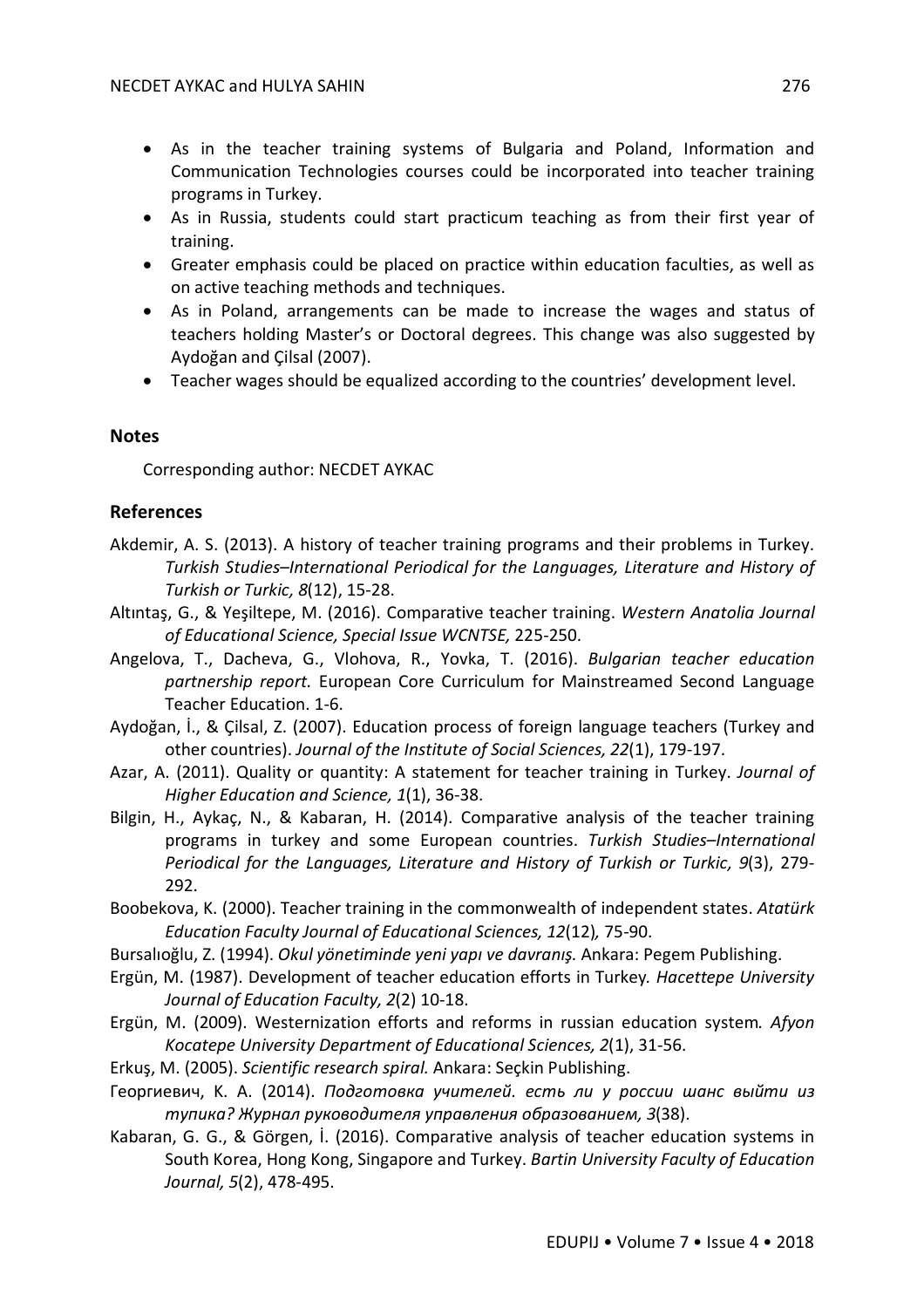- As in the teacher training systems of Bulgaria and Poland, Information and Communication Technologies courses could be incorporated into teacher training programs in Turkey.
- As in Russia, students could start practicum teaching as from their first year of training.
- Greater emphasis could be placed on practice within education faculties, as well as on active teaching methods and techniques.
- As in Poland, arrangements can be made to increase the wages and status of teachers holding Master's or Doctoral degrees. This change was also suggested by Aydoğan and Çilsal (2007).
- Teacher wages should be equalized according to the countries' development level.

## **Notes**

Corresponding author: NECDET AYKAC

## **References**

- Akdemir, A. S. (2013). A history of teacher training programs and their problems in Turkey. *Turkish Studies–International Periodical for the Languages, Literature and History of Turkish or Turkic, 8*(12), 15-28.
- Altıntaş, G., & Yeşiltepe, M. (2016). Comparative teacher training. *Western Anatolia Journal of Educational Science, Special Issue WCNTSE,* 225-250.
- Angelova, T., Dacheva, G., Vlohova, R., Yovka, T. (2016). *Bulgarian teacher education partnership report.* European Core Curriculum for Mainstreamed Second Language Teacher Education. 1-6.
- Aydoğan, İ., & Çilsal, Z. (2007). Education process of foreign language teachers (Turkey and other countries). *Journal of the Institute of Social Sciences, 22*(1), 179-197.
- Azar, A. (2011). Quality or quantity: A statement for teacher training in Turkey. *Journal of Higher Education and Science, 1*(1), 36-38.
- Bilgin, H., Aykaç, N., & Kabaran, H. (2014). Comparative analysis of the teacher training programs in turkey and some European countries. *Turkish Studies–International Periodical for the Languages, Literature and History of Turkish or Turkic, 9*(3), 279- 292.
- Boobekova, K. (2000). Teacher training in the commonwealth of independent states. *Atatürk Education Faculty Journal of Educational Sciences, 12*(12)*,* 75-90.
- Bursalıoğlu, Z. (1994). *Okul yönetiminde yeni yapı ve davranış.* Ankara: Pegem Publishing.
- Ergün, M. (1987). Development of teacher education efforts in Turkey*. Hacettepe University Journal of Education Faculty, 2*(2) 10-18.
- Ergün, M. (2009). Westernization efforts and reforms in russian education system*. Afyon Kocatepe University Department of Educational Sciences, 2*(1), 31-56.
- Erkuş, M. (2005). *Scientific research spiral.* Ankara: Seçkin Publishing.
- Георгиевич, K. A. (2014). *Подготовка учителей. есть ли у россии шанс выйти из тупика? Журнал руководителя управления образованием, 3*(38).
- Kabaran, G. G., & Görgen, İ. (2016). Comparative analysis of teacher education systems in South Korea, Hong Kong, Singapore and Turkey. *Bartin University Faculty of Education Journal, 5*(2), 478-495.